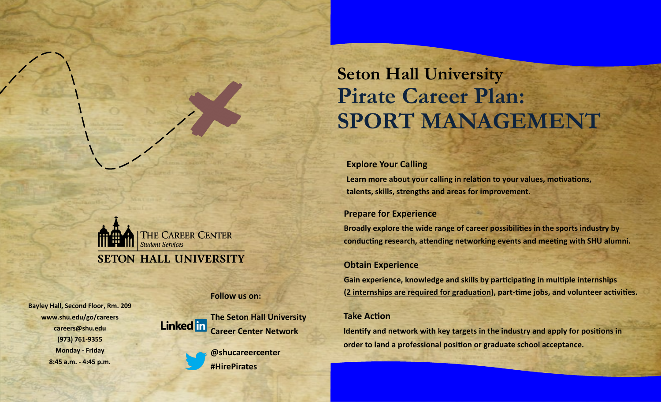# **Seton Hall University Pirate Career Plan: SPORT MANAGEMENT**

#### **Explore Your Calling**

**Learn more about your calling in relation to your values, motivations, talents, skills, strengths and areas for improvement.**

# **Prepare for Experience**

**Broadly explore the wide range of career possibilities in the sports industry by conducting research, attending networking events and meeting with SHU alumni.**

# **Obtain Experience**

**Gain experience, knowledge and skills by participating in multiple internships (2 internships are required for graduation), part-time jobs, and volunteer activities.**

#### **Take Action**

**Identify and network with key targets in the industry and apply for positions in order to land a professional position or graduate school acceptance.**

THE CAREER CENTER **Student Services SETON HALL UNIVERSITY** 

**Follow us on:**

**Bayley Hall, Second Floor, Rm. 209 www.shu.edu/go/careers careers@shu.edu (973) 761-9355 Monday - Friday 8:45 a.m. - 4:45 p.m.**



**@shucareercenter #HirePirates**